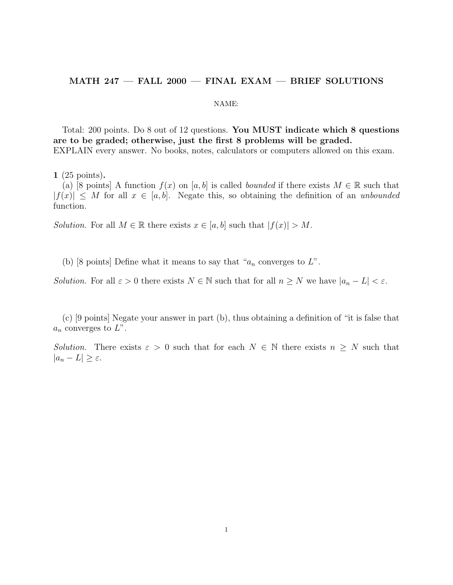## MATH 247 — FALL 2000 — FINAL EXAM — BRIEF SOLUTIONS

## NAME:

Total: 200 points. Do 8 out of 12 questions. You MUST indicate which 8 questions are to be graded; otherwise, just the first 8 problems will be graded. EXPLAIN every answer. No books, notes, calculators or computers allowed on this exam.

1 (25 points).

(a) [8 points] A function  $f(x)$  on [a, b] is called bounded if there exists  $M \in \mathbb{R}$  such that  $|f(x)| \leq M$  for all  $x \in [a, b]$ . Negate this, so obtaining the definition of an unbounded function.

Solution. For all  $M \in \mathbb{R}$  there exists  $x \in [a, b]$  such that  $|f(x)| > M$ .

(b) [8 points] Define what it means to say that " $a_n$  converges to  $L$ ".

Solution. For all  $\varepsilon > 0$  there exists  $N \in \mathbb{N}$  such that for all  $n \geq N$  we have  $|a_n - L| < \varepsilon$ .

(c) [9 points] Negate your answer in part (b), thus obtaining a definition of "it is false that  $a_n$  converges to  $L$ ".

Solution. There exists  $\varepsilon > 0$  such that for each  $N \in \mathbb{N}$  there exists  $n \geq N$  such that  $|a_n - L| \geq \varepsilon$ .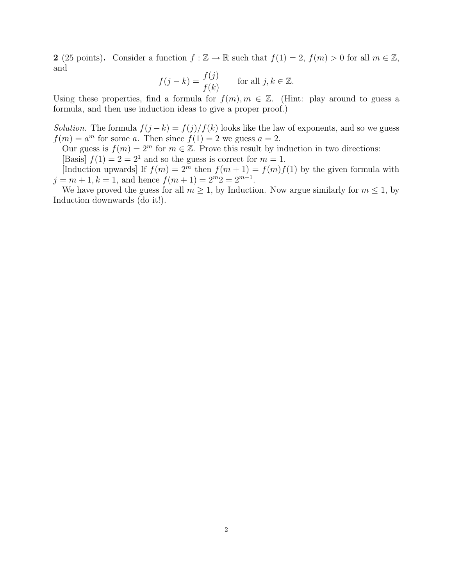2 (25 points). Consider a function  $f : \mathbb{Z} \to \mathbb{R}$  such that  $f(1) = 2$ ,  $f(m) > 0$  for all  $m \in \mathbb{Z}$ , and

$$
f(j-k) = \frac{f(j)}{f(k)} \qquad \text{for all } j, k \in \mathbb{Z}.
$$

Using these properties, find a formula for  $f(m), m \in \mathbb{Z}$ . (Hint: play around to guess a formula, and then use induction ideas to give a proper proof.)

Solution. The formula  $f(j - k) = f(j)/f(k)$  looks like the law of exponents, and so we guess  $f(m) = a^m$  for some a. Then since  $f(1) = 2$  we guess  $a = 2$ .

Our guess is  $f(m) = 2^m$  for  $m \in \mathbb{Z}$ . Prove this result by induction in two directions:

[Basis]  $f(1) = 2 = 2<sup>1</sup>$  and so the guess is correct for  $m = 1$ .

[Induction upwards] If  $f(m) = 2^m$  then  $f(m + 1) = f(m)f(1)$  by the given formula with  $j = m + 1, k = 1$ , and hence  $f(m + 1) = 2<sup>m</sup>2 = 2<sup>m+1</sup>$ .

We have proved the guess for all  $m \geq 1$ , by Induction. Now argue similarly for  $m \leq 1$ , by Induction downwards (do it!).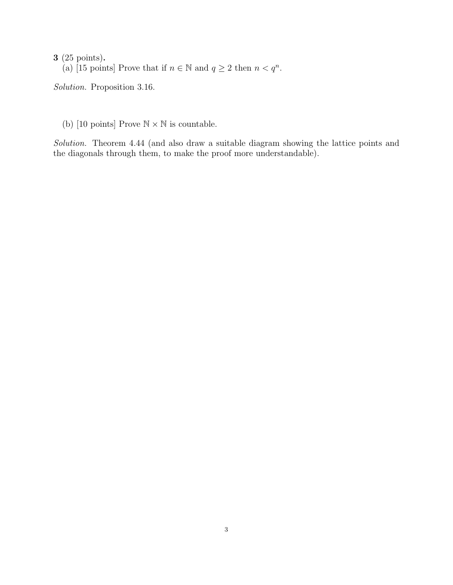3 (25 points). (a) [15 points] Prove that if  $n \in \mathbb{N}$  and  $q \ge 2$  then  $n < q^n$ .

Solution. Proposition 3.16.

(b) [10 points] Prove  $\mathbb{N} \times \mathbb{N}$  is countable.

Solution. Theorem 4.44 (and also draw a suitable diagram showing the lattice points and the diagonals through them, to make the proof more understandable).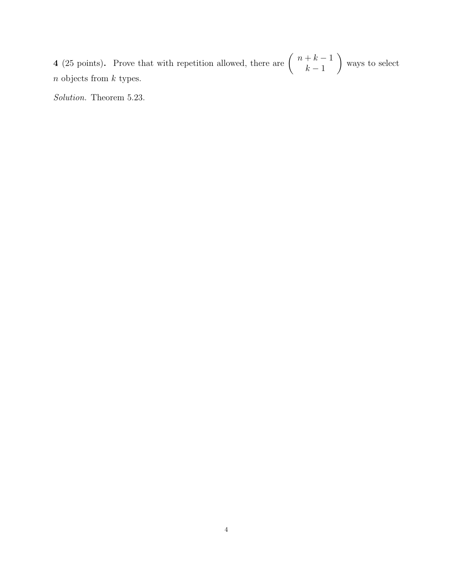4 (25 points). Prove that with repetition allowed, there are  $\begin{pmatrix} n+k-1 \\ k-1 \end{pmatrix}$  $k-1$  $\setminus$ ways to select  $\boldsymbol{n}$  objects from  $\boldsymbol{k}$  types.

Solution. Theorem 5.23.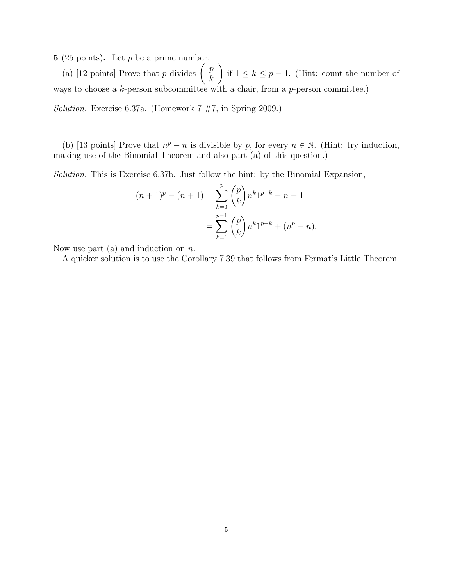5 (25 points). Let  $p$  be a prime number.

(a) [12 points] Prove that p divides  $\begin{pmatrix} p \\ h \end{pmatrix}$ k  $\setminus$ if  $1 \leq k \leq p-1$ . (Hint: count the number of ways to choose a  $k$ -person subcommittee with a chair, from a  $p$ -person committee.)

Solution. Exercise 6.37a. (Homework 7 #7, in Spring 2009.)

(b) [13 points] Prove that  $n^p - n$  is divisible by p, for every  $n \in \mathbb{N}$ . (Hint: try induction, making use of the Binomial Theorem and also part (a) of this question.)

Solution. This is Exercise 6.37b. Just follow the hint: by the Binomial Expansion,

$$
(n+1)^p - (n+1) = \sum_{k=0}^p {p \choose k} n^k 1^{p-k} - n - 1
$$
  
= 
$$
\sum_{k=1}^{p-1} {p \choose k} n^k 1^{p-k} + (n^p - n).
$$

Now use part (a) and induction on  $n$ .

A quicker solution is to use the Corollary 7.39 that follows from Fermat's Little Theorem.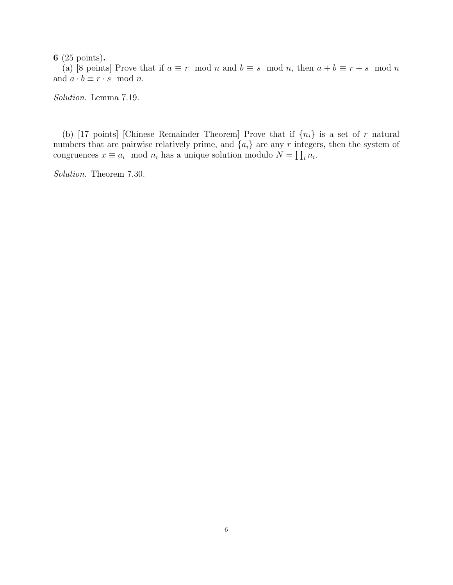6 (25 points).

(a) [8 points] Prove that if  $a \equiv r \mod n$  and  $b \equiv s \mod n$ , then  $a + b \equiv r + s \mod n$ and  $a \cdot b \equiv r \cdot s \mod n$ .

Solution. Lemma 7.19.

(b) [17 points] [Chinese Remainder Theorem] Prove that if  $\{n_i\}$  is a set of r natural numbers that are pairwise relatively prime, and  $\{a_i\}$  are any r integers, then the system of congruences  $x \equiv a_i \mod n_i$  has a unique solution modulo  $N = \prod_i n_i$ .

Solution. Theorem 7.30.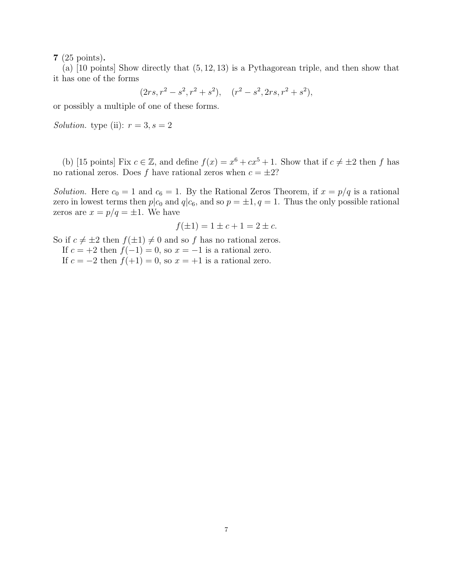7 (25 points).

(a) [10 points] Show directly that (5, 12, 13) is a Pythagorean triple, and then show that it has one of the forms

$$
(2rs, r^2 - s^2, r^2 + s^2), (r^2 - s^2, 2rs, r^2 + s^2),
$$

or possibly a multiple of one of these forms.

Solution. type (ii):  $r = 3, s = 2$ 

(b) [15 points] Fix  $c \in \mathbb{Z}$ , and define  $f(x) = x^6 + cx^5 + 1$ . Show that if  $c \neq \pm 2$  then f has no rational zeros. Does f have rational zeros when  $c = \pm 2$ ?

Solution. Here  $c_0 = 1$  and  $c_6 = 1$ . By the Rational Zeros Theorem, if  $x = p/q$  is a rational zero in lowest terms then  $p|c_0$  and  $q|c_6$ , and so  $p = \pm 1, q = 1$ . Thus the only possible rational zeros are  $x = p/q = \pm 1$ . We have

$$
f(\pm 1) = 1 \pm c + 1 = 2 \pm c.
$$

So if  $c \neq \pm 2$  then  $f(\pm 1) \neq 0$  and so f has no rational zeros.

If  $c = +2$  then  $f(-1) = 0$ , so  $x = -1$  is a rational zero.

If  $c = -2$  then  $f(+1) = 0$ , so  $x = +1$  is a rational zero.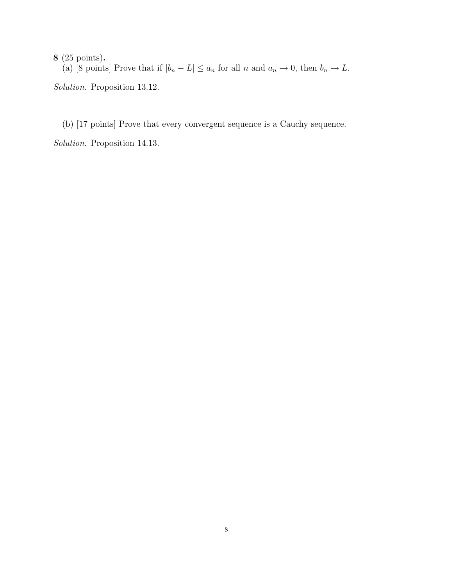8 (25 points).

(a) [8 points] Prove that if  $|b_n - L| \le a_n$  for all n and  $a_n \to 0$ , then  $b_n \to L$ . Solution. Proposition 13.12.

(b) [17 points] Prove that every convergent sequence is a Cauchy sequence.

Solution. Proposition 14.13.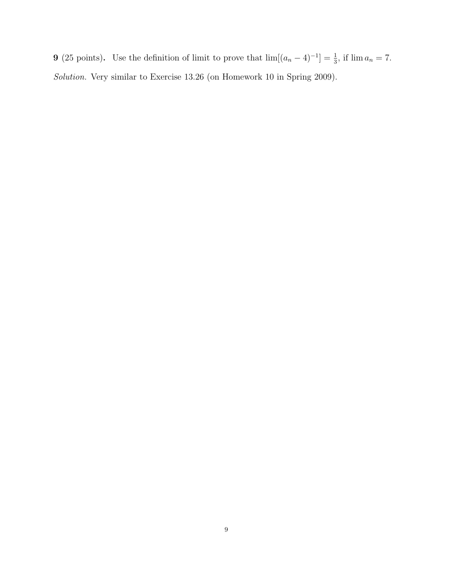**9** (25 points). Use the definition of limit to prove that  $\lim[(a_n - 4)^{-1}] = \frac{1}{3}$ , if  $\lim a_n = 7$ . Solution. Very similar to Exercise 13.26 (on Homework 10 in Spring 2009).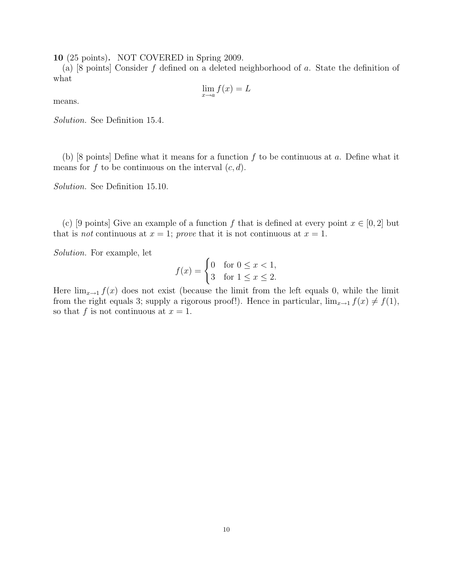10 (25 points). NOT COVERED in Spring 2009.

(a) [8 points] Consider f defined on a deleted neighborhood of a. State the definition of what

$$
\lim_{x \to a} f(x) = L
$$

means.

Solution. See Definition 15.4.

(b) [8 points] Define what it means for a function  $f$  to be continuous at  $a$ . Define what it means for f to be continuous on the interval  $(c, d)$ .

Solution. See Definition 15.10.

(c) [9 points] Give an example of a function f that is defined at every point  $x \in [0,2]$  but that is *not* continuous at  $x = 1$ ; prove that it is not continuous at  $x = 1$ .

Solution. For example, let

$$
f(x) = \begin{cases} 0 & \text{for } 0 \le x < 1, \\ 3 & \text{for } 1 \le x \le 2. \end{cases}
$$

Here  $\lim_{x\to 1} f(x)$  does not exist (because the limit from the left equals 0, while the limit from the right equals 3; supply a rigorous proof!). Hence in particular,  $\lim_{x\to 1} f(x) \neq f(1)$ , so that f is not continuous at  $x = 1$ .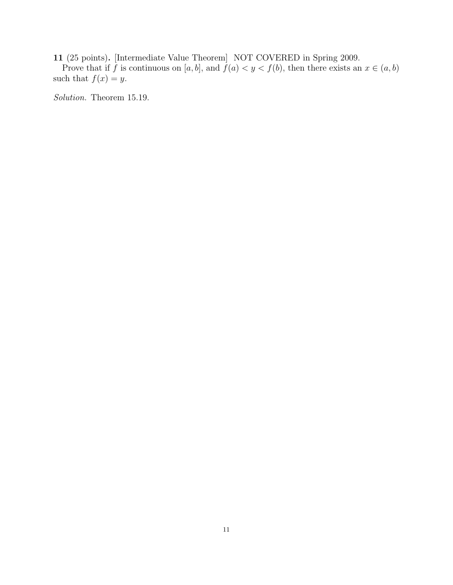11 (25 points). [Intermediate Value Theorem] NOT COVERED in Spring 2009.

Prove that if f is continuous on [a, b], and  $f(a) < y < f(b)$ , then there exists an  $x \in (a, b)$ such that  $f(x) = y$ .

Solution. Theorem 15.19.